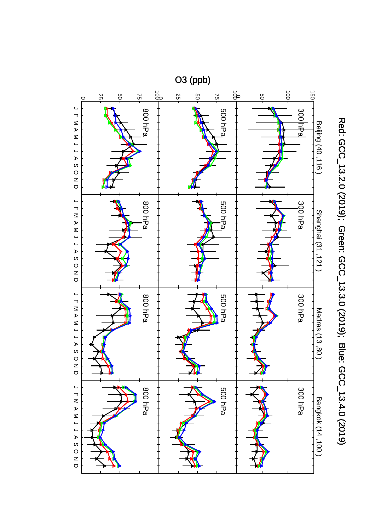

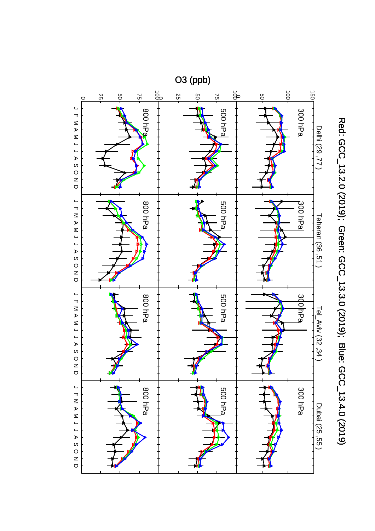

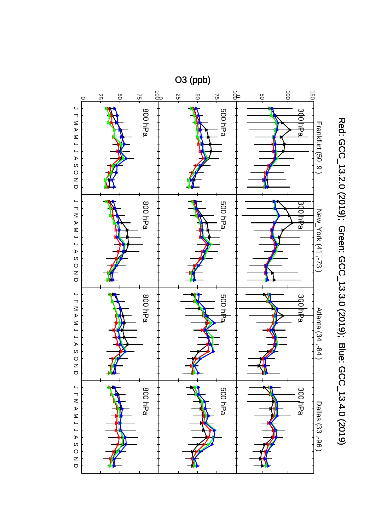

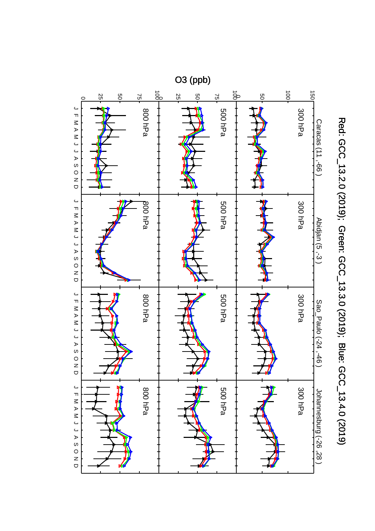